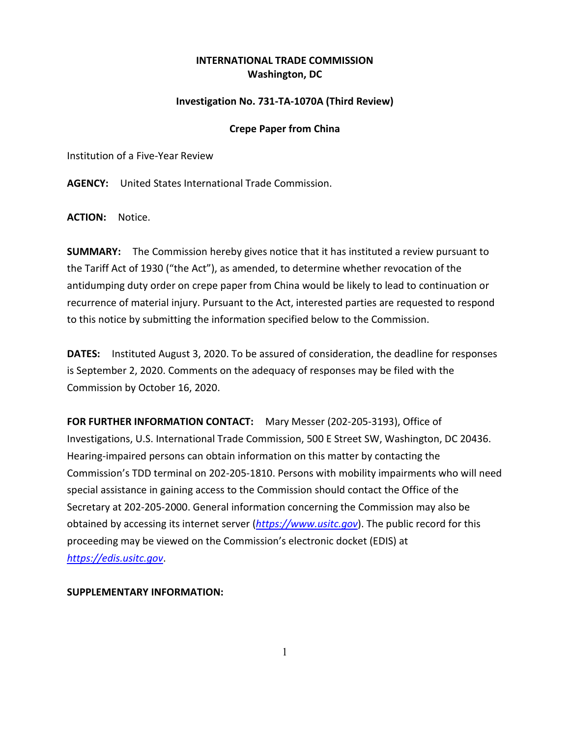## **INTERNATIONAL TRADE COMMISSION Washington, DC**

## **Investigation No. 731-TA-1070A (Third Review)**

## **Crepe Paper from China**

Institution of a Five-Year Review

**AGENCY:** United States International Trade Commission.

**ACTION:** Notice.

**SUMMARY:** The Commission hereby gives notice that it has instituted a review pursuant to the Tariff Act of 1930 ("the Act"), as amended, to determine whether revocation of the antidumping duty order on crepe paper from China would be likely to lead to continuation or recurrence of material injury. Pursuant to the Act, interested parties are requested to respond to this notice by submitting the information specified below to the Commission.

**DATES:** Instituted August 3, 2020. To be assured of consideration, the deadline for responses is September 2, 2020. Comments on the adequacy of responses may be filed with the Commission by October 16, 2020.

**FOR FURTHER INFORMATION CONTACT:** Mary Messer (202-205-3193), Office of Investigations, U.S. International Trade Commission, 500 E Street SW, Washington, DC 20436. Hearing-impaired persons can obtain information on this matter by contacting the Commission's TDD terminal on 202-205-1810. Persons with mobility impairments who will need special assistance in gaining access to the Commission should contact the Office of the Secretary at 202-205-2000. General information concerning the Commission may also be obtained by accessing its internet server (*[https://www.usitc.gov](https://www.usitc.gov/)*). The public record for this proceeding may be viewed on the Commission's electronic docket (EDIS) at *[https://edis.usitc.gov](https://edis.usitc.gov/)*.

## **SUPPLEMENTARY INFORMATION:**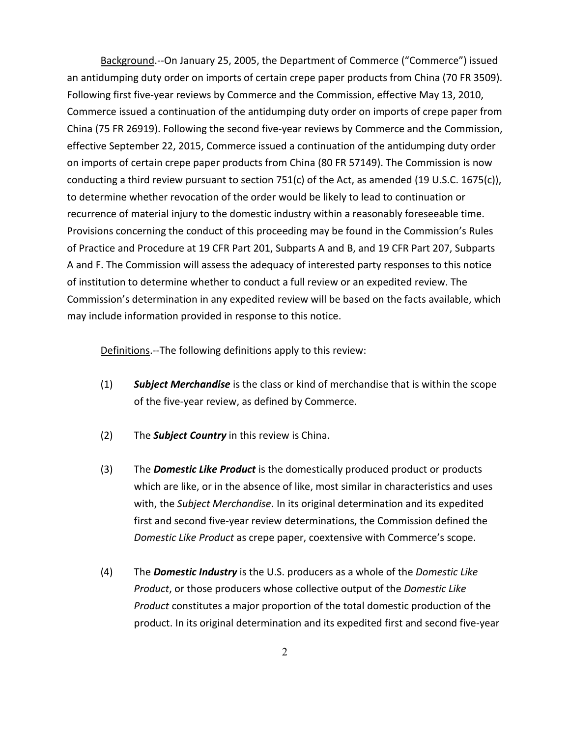Background.--On January 25, 2005, the Department of Commerce ("Commerce") issued an antidumping duty order on imports of certain crepe paper products from China (70 FR 3509). Following first five-year reviews by Commerce and the Commission, effective May 13, 2010, Commerce issued a continuation of the antidumping duty order on imports of crepe paper from China (75 FR 26919). Following the second five-year reviews by Commerce and the Commission, effective September 22, 2015, Commerce issued a continuation of the antidumping duty order on imports of certain crepe paper products from China (80 FR 57149). The Commission is now conducting a third review pursuant to section 751(c) of the Act, as amended (19 U.S.C. 1675(c)), to determine whether revocation of the order would be likely to lead to continuation or recurrence of material injury to the domestic industry within a reasonably foreseeable time. Provisions concerning the conduct of this proceeding may be found in the Commission's Rules of Practice and Procedure at 19 CFR Part 201, Subparts A and B, and 19 CFR Part 207, Subparts A and F. The Commission will assess the adequacy of interested party responses to this notice of institution to determine whether to conduct a full review or an expedited review. The Commission's determination in any expedited review will be based on the facts available, which may include information provided in response to this notice.

Definitions.--The following definitions apply to this review:

- (1) *Subject Merchandise* is the class or kind of merchandise that is within the scope of the five-year review, as defined by Commerce.
- (2) The *Subject Country* in this review is China.
- (3) The *Domestic Like Product* is the domestically produced product or products which are like, or in the absence of like, most similar in characteristics and uses with, the *Subject Merchandise*. In its original determination and its expedited first and second five-year review determinations, the Commission defined the *Domestic Like Product* as crepe paper, coextensive with Commerce's scope.
- (4) The *Domestic Industry* is the U.S. producers as a whole of the *Domestic Like Product*, or those producers whose collective output of the *Domestic Like Product* constitutes a major proportion of the total domestic production of the product. In its original determination and its expedited first and second five-year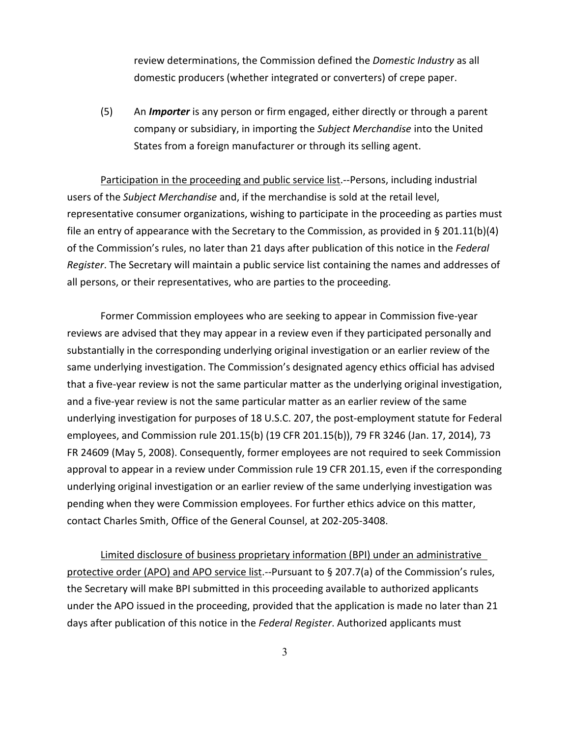review determinations, the Commission defined the *Domestic Industry* as all domestic producers (whether integrated or converters) of crepe paper.

(5) An *Importer* is any person or firm engaged, either directly or through a parent company or subsidiary, in importing the *Subject Merchandise* into the United States from a foreign manufacturer or through its selling agent.

Participation in the proceeding and public service list.--Persons, including industrial users of the *Subject Merchandise* and, if the merchandise is sold at the retail level, representative consumer organizations, wishing to participate in the proceeding as parties must file an entry of appearance with the Secretary to the Commission, as provided in § 201.11(b)(4) of the Commission's rules, no later than 21 days after publication of this notice in the *Federal Register*. The Secretary will maintain a public service list containing the names and addresses of all persons, or their representatives, who are parties to the proceeding.

Former Commission employees who are seeking to appear in Commission five-year reviews are advised that they may appear in a review even if they participated personally and substantially in the corresponding underlying original investigation or an earlier review of the same underlying investigation. The Commission's designated agency ethics official has advised that a five-year review is not the same particular matter as the underlying original investigation, and a five-year review is not the same particular matter as an earlier review of the same underlying investigation for purposes of 18 U.S.C. 207, the post-employment statute for Federal employees, and Commission rule 201.15(b) (19 CFR 201.15(b)), 79 FR 3246 (Jan. 17, 2014), 73 FR 24609 (May 5, 2008). Consequently, former employees are not required to seek Commission approval to appear in a review under Commission rule 19 CFR 201.15, even if the corresponding underlying original investigation or an earlier review of the same underlying investigation was pending when they were Commission employees. For further ethics advice on this matter, contact Charles Smith, Office of the General Counsel, at 202-205-3408.

Limited disclosure of business proprietary information (BPI) under an administrative protective order (APO) and APO service list.--Pursuant to § 207.7(a) of the Commission's rules, the Secretary will make BPI submitted in this proceeding available to authorized applicants under the APO issued in the proceeding, provided that the application is made no later than 21 days after publication of this notice in the *Federal Register*. Authorized applicants must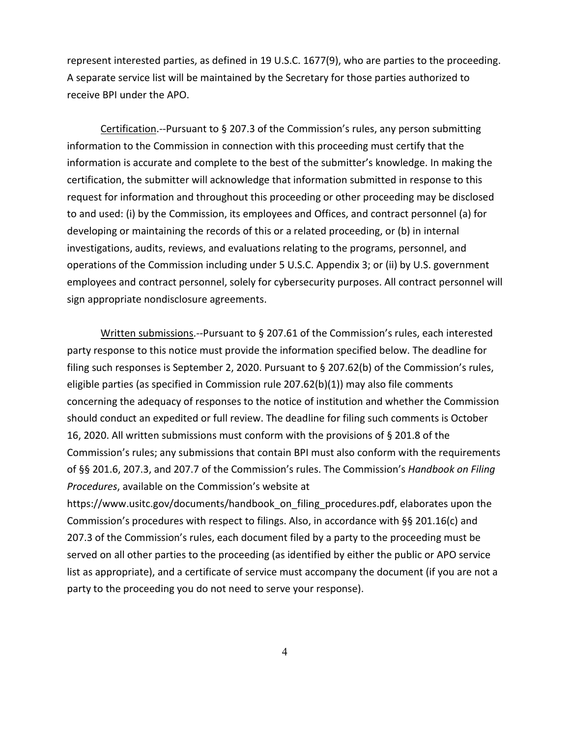represent interested parties, as defined in 19 U.S.C. 1677(9), who are parties to the proceeding. A separate service list will be maintained by the Secretary for those parties authorized to receive BPI under the APO.

Certification.--Pursuant to § 207.3 of the Commission's rules, any person submitting information to the Commission in connection with this proceeding must certify that the information is accurate and complete to the best of the submitter's knowledge. In making the certification, the submitter will acknowledge that information submitted in response to this request for information and throughout this proceeding or other proceeding may be disclosed to and used: (i) by the Commission, its employees and Offices, and contract personnel (a) for developing or maintaining the records of this or a related proceeding, or (b) in internal investigations, audits, reviews, and evaluations relating to the programs, personnel, and operations of the Commission including under 5 U.S.C. Appendix 3; or (ii) by U.S. government employees and contract personnel, solely for cybersecurity purposes. All contract personnel will sign appropriate nondisclosure agreements.

Written submissions.--Pursuant to § 207.61 of the Commission's rules, each interested party response to this notice must provide the information specified below. The deadline for filing such responses is September 2, 2020. Pursuant to § 207.62(b) of the Commission's rules, eligible parties (as specified in Commission rule 207.62(b)(1)) may also file comments concerning the adequacy of responses to the notice of institution and whether the Commission should conduct an expedited or full review. The deadline for filing such comments is October 16, 2020. All written submissions must conform with the provisions of § 201.8 of the Commission's rules; any submissions that contain BPI must also conform with the requirements of §§ 201.6, 207.3, and 207.7 of the Commission's rules. The Commission's *Handbook on Filing Procedures*, available on the Commission's website at

https://www.usitc.gov/documents/handbook\_on\_filing\_procedures.pdf, elaborates upon the Commission's procedures with respect to filings. Also, in accordance with §§ 201.16(c) and 207.3 of the Commission's rules, each document filed by a party to the proceeding must be served on all other parties to the proceeding (as identified by either the public or APO service list as appropriate), and a certificate of service must accompany the document (if you are not a party to the proceeding you do not need to serve your response).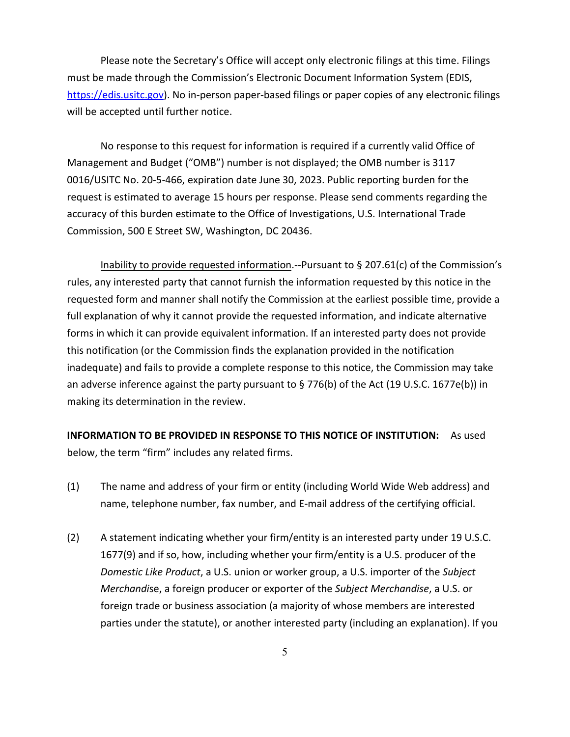Please note the Secretary's Office will accept only electronic filings at this time. Filings must be made through the Commission's Electronic Document Information System (EDIS, [https://edis.usitc.gov\)](https://edis.usitc.gov/). No in-person paper-based filings or paper copies of any electronic filings will be accepted until further notice.

No response to this request for information is required if a currently valid Office of Management and Budget ("OMB") number is not displayed; the OMB number is 3117 0016/USITC No. 20-5-466, expiration date June 30, 2023. Public reporting burden for the request is estimated to average 15 hours per response. Please send comments regarding the accuracy of this burden estimate to the Office of Investigations, U.S. International Trade Commission, 500 E Street SW, Washington, DC 20436.

Inability to provide requested information.--Pursuant to § 207.61(c) of the Commission's rules, any interested party that cannot furnish the information requested by this notice in the requested form and manner shall notify the Commission at the earliest possible time, provide a full explanation of why it cannot provide the requested information, and indicate alternative forms in which it can provide equivalent information. If an interested party does not provide this notification (or the Commission finds the explanation provided in the notification inadequate) and fails to provide a complete response to this notice, the Commission may take an adverse inference against the party pursuant to § 776(b) of the Act (19 U.S.C. 1677e(b)) in making its determination in the review.

**INFORMATION TO BE PROVIDED IN RESPONSE TO THIS NOTICE OF INSTITUTION:** As used below, the term "firm" includes any related firms.

- (1) The name and address of your firm or entity (including World Wide Web address) and name, telephone number, fax number, and E-mail address of the certifying official.
- (2) A statement indicating whether your firm/entity is an interested party under 19 U.S.C. 1677(9) and if so, how, including whether your firm/entity is a U.S. producer of the *Domestic Like Product*, a U.S. union or worker group, a U.S. importer of the *Subject Merchandi*se, a foreign producer or exporter of the *Subject Merchandise*, a U.S. or foreign trade or business association (a majority of whose members are interested parties under the statute), or another interested party (including an explanation). If you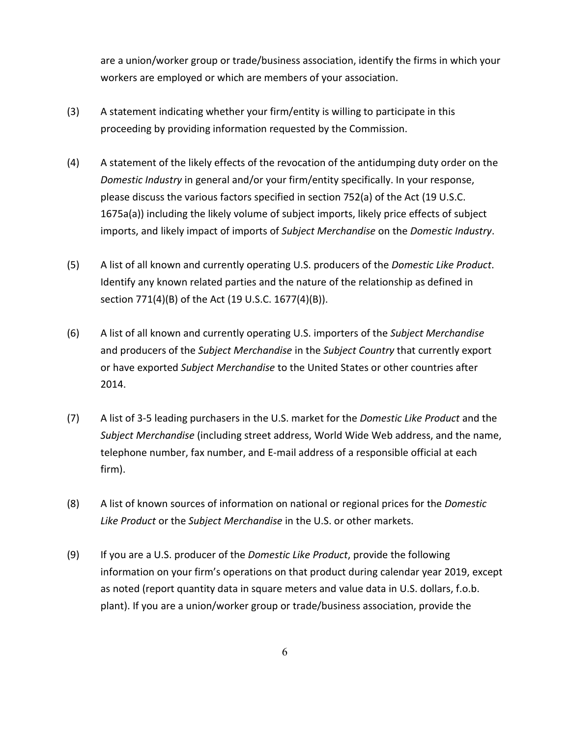are a union/worker group or trade/business association, identify the firms in which your workers are employed or which are members of your association.

- (3) A statement indicating whether your firm/entity is willing to participate in this proceeding by providing information requested by the Commission.
- (4) A statement of the likely effects of the revocation of the antidumping duty order on the *Domestic Industry* in general and/or your firm/entity specifically. In your response, please discuss the various factors specified in section 752(a) of the Act (19 U.S.C. 1675a(a)) including the likely volume of subject imports, likely price effects of subject imports, and likely impact of imports of *Subject Merchandise* on the *Domestic Industry*.
- (5) A list of all known and currently operating U.S. producers of the *Domestic Like Product*. Identify any known related parties and the nature of the relationship as defined in section 771(4)(B) of the Act (19 U.S.C. 1677(4)(B)).
- (6) A list of all known and currently operating U.S. importers of the *Subject Merchandise* and producers of the *Subject Merchandise* in the *Subject Country* that currently export or have exported *Subject Merchandise* to the United States or other countries after 2014.
- (7) A list of 3-5 leading purchasers in the U.S. market for the *Domestic Like Product* and the *Subject Merchandise* (including street address, World Wide Web address, and the name, telephone number, fax number, and E-mail address of a responsible official at each firm).
- (8) A list of known sources of information on national or regional prices for the *Domestic Like Product* or the *Subject Merchandise* in the U.S. or other markets.
- (9) If you are a U.S. producer of the *Domestic Like Product*, provide the following information on your firm's operations on that product during calendar year 2019, except as noted (report quantity data in square meters and value data in U.S. dollars, f.o.b. plant). If you are a union/worker group or trade/business association, provide the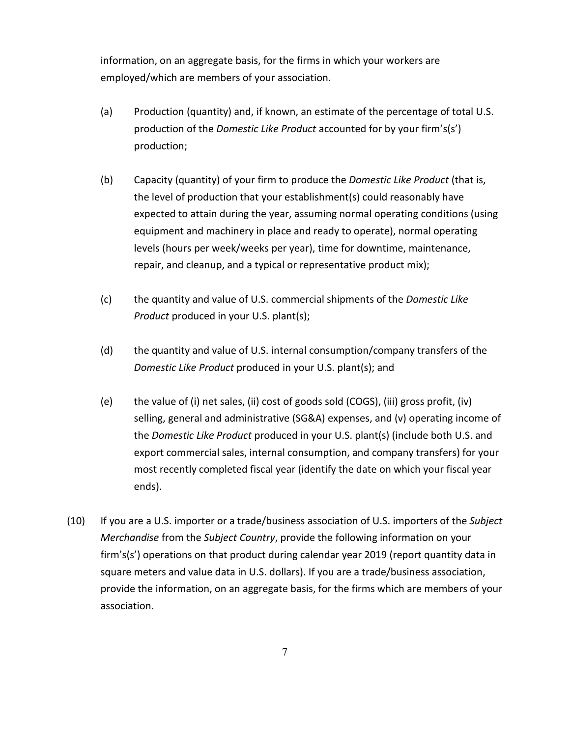information, on an aggregate basis, for the firms in which your workers are employed/which are members of your association.

- (a) Production (quantity) and, if known, an estimate of the percentage of total U.S. production of the *Domestic Like Product* accounted for by your firm's(s') production;
- (b) Capacity (quantity) of your firm to produce the *Domestic Like Product* (that is, the level of production that your establishment(s) could reasonably have expected to attain during the year, assuming normal operating conditions (using equipment and machinery in place and ready to operate), normal operating levels (hours per week/weeks per year), time for downtime, maintenance, repair, and cleanup, and a typical or representative product mix);
- (c) the quantity and value of U.S. commercial shipments of the *Domestic Like Product* produced in your U.S. plant(s);
- (d) the quantity and value of U.S. internal consumption/company transfers of the *Domestic Like Product* produced in your U.S. plant(s); and
- (e) the value of (i) net sales, (ii) cost of goods sold (COGS), (iii) gross profit, (iv) selling, general and administrative (SG&A) expenses, and (v) operating income of the *Domestic Like Product* produced in your U.S. plant(s) (include both U.S. and export commercial sales, internal consumption, and company transfers) for your most recently completed fiscal year (identify the date on which your fiscal year ends).
- (10) If you are a U.S. importer or a trade/business association of U.S. importers of the *Subject Merchandise* from the *Subject Country*, provide the following information on your firm's(s') operations on that product during calendar year 2019 (report quantity data in square meters and value data in U.S. dollars). If you are a trade/business association, provide the information, on an aggregate basis, for the firms which are members of your association.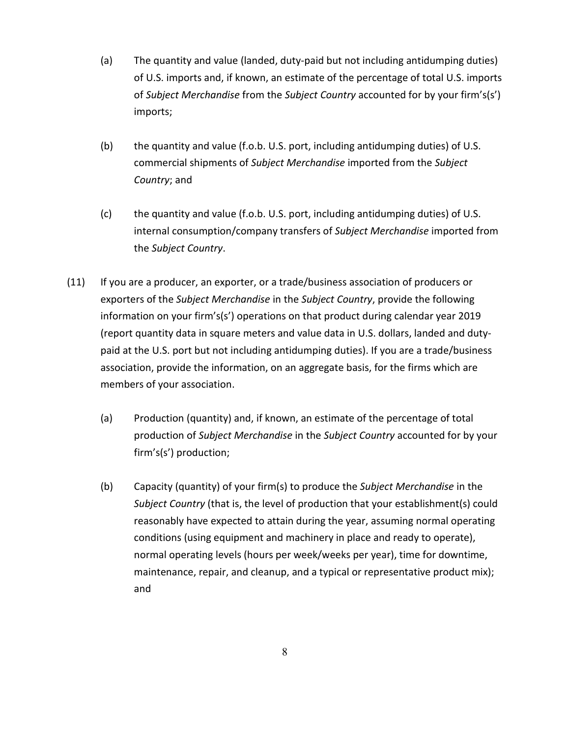- (a) The quantity and value (landed, duty-paid but not including antidumping duties) of U.S. imports and, if known, an estimate of the percentage of total U.S. imports of *Subject Merchandise* from the *Subject Country* accounted for by your firm's(s') imports;
- (b) the quantity and value (f.o.b. U.S. port, including antidumping duties) of U.S. commercial shipments of *Subject Merchandise* imported from the *Subject Country*; and
- (c) the quantity and value (f.o.b. U.S. port, including antidumping duties) of U.S. internal consumption/company transfers of *Subject Merchandise* imported from the *Subject Country*.
- (11) If you are a producer, an exporter, or a trade/business association of producers or exporters of the *Subject Merchandise* in the *Subject Country*, provide the following information on your firm's(s') operations on that product during calendar year 2019 (report quantity data in square meters and value data in U.S. dollars, landed and dutypaid at the U.S. port but not including antidumping duties). If you are a trade/business association, provide the information, on an aggregate basis, for the firms which are members of your association.
	- (a) Production (quantity) and, if known, an estimate of the percentage of total production of *Subject Merchandise* in the *Subject Country* accounted for by your firm's(s') production;
	- (b) Capacity (quantity) of your firm(s) to produce the *Subject Merchandise* in the *Subject Country* (that is, the level of production that your establishment(s) could reasonably have expected to attain during the year, assuming normal operating conditions (using equipment and machinery in place and ready to operate), normal operating levels (hours per week/weeks per year), time for downtime, maintenance, repair, and cleanup, and a typical or representative product mix); and